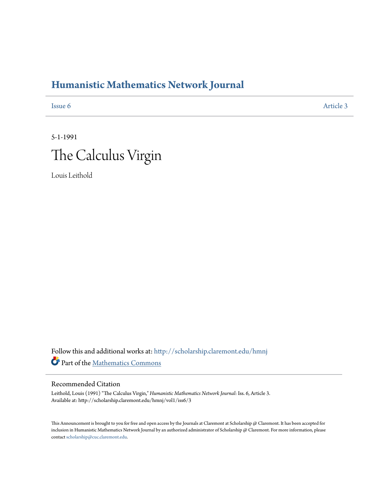## **[Humanistic Mathematics Network Journal](http://scholarship.claremont.edu/hmnj?utm_source=scholarship.claremont.edu%2Fhmnj%2Fvol1%2Fiss6%2F3&utm_medium=PDF&utm_campaign=PDFCoverPages)**

**[Issue 6](http://scholarship.claremont.edu/hmnj/vol1/iss6?utm_source=scholarship.claremont.edu%2Fhmnj%2Fvol1%2Fiss6%2F3&utm_medium=PDF&utm_campaign=PDFCoverPages)** [Article 3](http://scholarship.claremont.edu/hmnj/vol1/iss6/3?utm_source=scholarship.claremont.edu%2Fhmnj%2Fvol1%2Fiss6%2F3&utm_medium=PDF&utm_campaign=PDFCoverPages)

## 5-1-1991 The Calculus Virgin

Louis Leithold

Follow this and additional works at: [http://scholarship.claremont.edu/hmnj](http://scholarship.claremont.edu/hmnj?utm_source=scholarship.claremont.edu%2Fhmnj%2Fvol1%2Fiss6%2F3&utm_medium=PDF&utm_campaign=PDFCoverPages) Part of the [Mathematics Commons](http://network.bepress.com/hgg/discipline/174?utm_source=scholarship.claremont.edu%2Fhmnj%2Fvol1%2Fiss6%2F3&utm_medium=PDF&utm_campaign=PDFCoverPages)

## Recommended Citation

Leithold, Louis (1991) "The Calculus Virgin," *Humanistic Mathematics Network Journal*: Iss. 6, Article 3. Available at: http://scholarship.claremont.edu/hmnj/vol1/iss6/3

This Announcement is brought to you for free and open access by the Journals at Claremont at Scholarship @ Claremont. It has been accepted for inclusion in Humanistic Mathematics Network Journal by an authorized administrator of Scholarship @ Claremont. For more information, please contact [scholarship@cuc.claremont.edu](mailto:scholarship@cuc.claremont.edu).